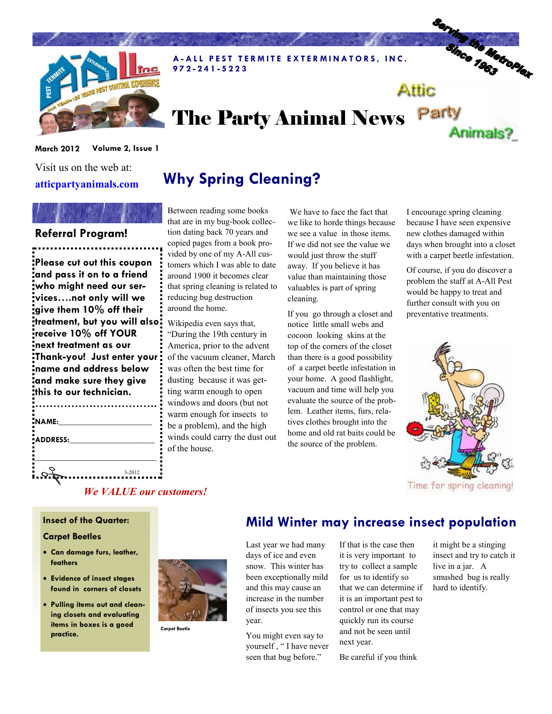

A-ALL PEST TERMITE EXTERMINATORS, INC. 9 7 2 - 2 4 1 - 5 2 2 3

# The Party Animal News Party

#### March 2012 Volume 2, Issue 1

Visit us on the web at: atticpartyanimals.com

### Referral Program!

Please cut out this coupon and pass it on to a friend who might need our services….not only will we give them 10% off their treatment, but you will also receive 10% off YOUR next treatment as our Thank-you! Just enter your name and address below and make sure they give this to our technician.

| NAME:    |        |
|----------|--------|
| ADDRESS: |        |
|          |        |
|          | 3-2012 |
|          |        |

Why Spring Cleaning?

Between reading some books that are in my bug-book collection dating back 70 years and copied pages from a book provided by one of my A-All customers which I was able to date around 1900 it becomes clear that spring cleaning is related to reducing bug destruction around the home.

Wikipedia even says that, "During the 19th century in America, prior to the advent of the vacuum cleaner, March was often the best time for dusting because it was getting warm enough to open windows and doors (but not warm enough for insects to be a problem), and the high winds could carry the dust out of the house.

 We have to face the fact that we like to horde things because we see a value in those items. If we did not see the value we would just throw the stuff away. If you believe it has value than maintaining those valuables is part of spring cleaning.

If you go through a closet and notice little small webs and cocoon looking skins at the top of the corners of the closet than there is a good possibility of a carpet beetle infestation in your home. A good flashlight, vacuum and time will help you evaluate the source of the problem. Leather items, furs, relatives clothes brought into the home and old rat baits could be the source of the problem.

I encourage spring cleaning because I have seen expensive new clothes damaged within days when brought into a closet with a carpet beetle infestation.

Serving the Metroplex

**Animals?** 

Attic

Of course, if you do discover a problem the staff at A-All Pest would be happy to treat and further consult with you on preventative treatments.



Time for spring cleaning!

#### We VALUE our customers!

#### Insect of the Quarter:

#### Carpet Beetles

- Can damage furs, leather, feathers
- Evidence of insect stages found in corners of closets
- Pulling items out and cleaning closets and evaluating items in boxes is a good practice.



Carpet Beetle



Last year we had many days of ice and even snow. This winter has been exceptionally mild and this may cause an increase in the number of insects you see this year.

You might even say to yourself , " I have never seen that bug before."

If that is the case then it is very important to try to collect a sample for us to identify so that we can determine if it is an important pest to control or one that may quickly run its course and not be seen until next year.

Be careful if you think

it might be a stinging insect and try to catch it live in a jar. A smushed bug is really hard to identify.